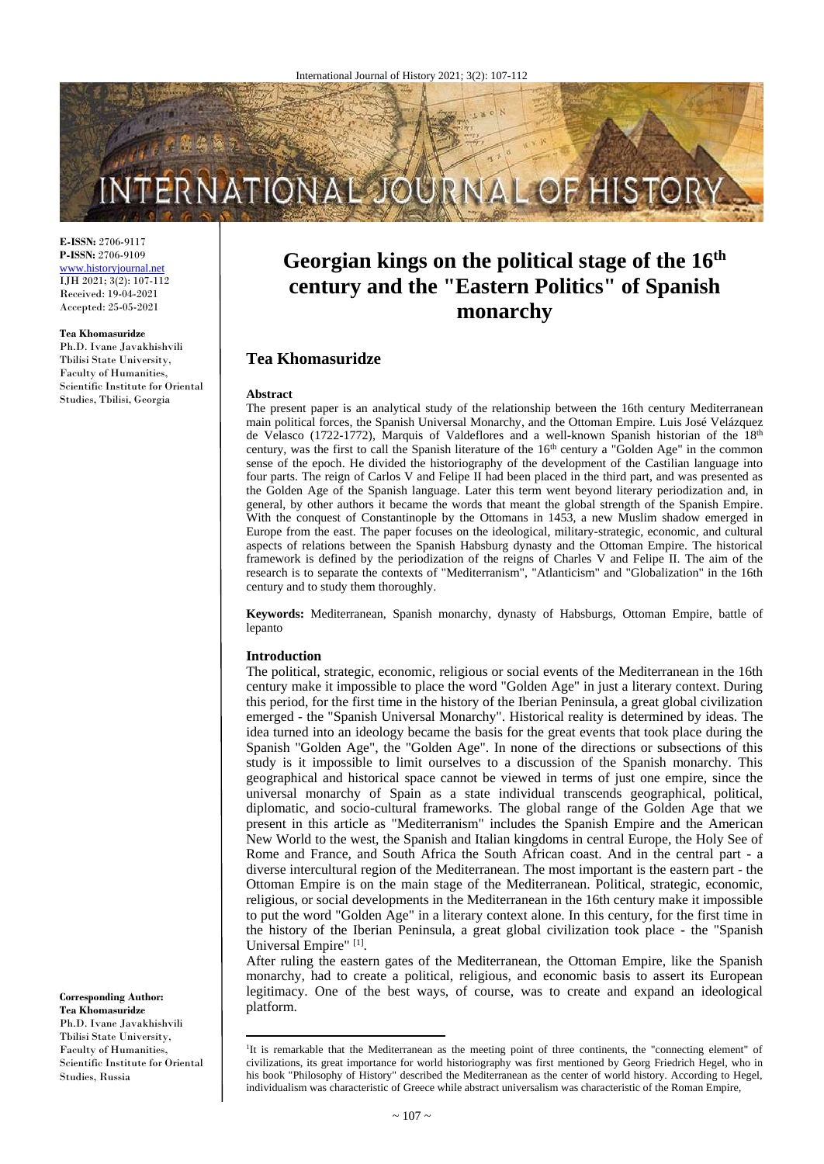

**E-ISSN:** 2706-9117 **P-ISSN:** 2706-9109 [www.historyjournal.net](http://www.historyjournal.net/) IJH 2021; 3(2): 107-112 Received: 19-04-2021 Accepted: 25-05-2021

#### **Tea Khomasuridze**

Ph.D. Ivane Javakhishvili Tbilisi State University, Faculty of Humanities, Scientific Institute for Oriental Studies, Tbilisi, Georgia

**Georgian kings on the political stage of the 16th century and the "Eastern Politics" of Spanish monarchy**

# **Tea Khomasuridze**

#### **Abstract**

The present paper is an analytical study of the relationship between the 16th century Mediterranean main political forces, the Spanish Universal Monarchy, and the Ottoman Empire. Luis José Velázquez de Velasco (1722-1772), Marquis of Valdeflores and a well-known Spanish historian of the  $18<sup>th</sup>$ century, was the first to call the Spanish literature of the  $16<sup>th</sup>$  century a "Golden Age" in the common sense of the epoch. He divided the historiography of the development of the Castilian language into four parts. The reign of Carlos V and Felipe II had been placed in the third part, and was presented as the Golden Age of the Spanish language. Later this term went beyond literary periodization and, in general, by other authors it became the words that meant the global strength of the Spanish Empire. With the conquest of Constantinople by the Ottomans in 1453, a new Muslim shadow emerged in Europe from the east. The paper focuses on the ideological, military-strategic, economic, and cultural aspects of relations between the Spanish Habsburg dynasty and the Ottoman Empire. The historical framework is defined by the periodization of the reigns of Charles V and Felipe II. The aim of the research is to separate the contexts of "Mediterranism", "Atlanticism" and "Globalization" in the 16th century and to study them thoroughly.

**Keywords:** Mediterranean, Spanish monarchy, dynasty of Habsburgs, Ottoman Empire, battle of lepanto

### **Introduction**

 $\overline{a}$ 

The political, strategic, economic, religious or social events of the Mediterranean in the 16th century make it impossible to place the word "Golden Age" in just a literary context. During this period, for the first time in the history of the Iberian Peninsula, a great global civilization emerged - the "Spanish Universal Monarchy". Historical reality is determined by ideas. The idea turned into an ideology became the basis for the great events that took place during the Spanish "Golden Age", the "Golden Age". In none of the directions or subsections of this study is it impossible to limit ourselves to a discussion of the Spanish monarchy. This geographical and historical space cannot be viewed in terms of just one empire, since the universal monarchy of Spain as a state individual transcends geographical, political, diplomatic, and socio-cultural frameworks. The global range of the Golden Age that we present in this article as "Mediterranism" includes the Spanish Empire and the American New World to the west, the Spanish and Italian kingdoms in central Europe, the Holy See of Rome and France, and South Africa the South African coast. And in the central part - a diverse intercultural region of the Mediterranean. The most important is the eastern part - the Ottoman Empire is on the main stage of the Mediterranean. Political, strategic, economic, religious, or social developments in the Mediterranean in the 16th century make it impossible to put the word "Golden Age" in a literary context alone. In this century, for the first time in the history of the Iberian Peninsula, a great global civilization took place - the "Spanish Universal Empire"<sup>[1]</sup>.

After ruling the eastern gates of the Mediterranean, the Ottoman Empire, like the Spanish monarchy, had to create a political, religious, and economic basis to assert its European legitimacy. One of the best ways, of course, was to create and expand an ideological platform.

**Corresponding Author: Tea Khomasuridze** Ph.D. Ivane Javakhishvili Tbilisi State University, Faculty of Humanities, Scientific Institute for Oriental Studies, Russia

<sup>&</sup>lt;sup>1</sup>It is remarkable that the Mediterranean as the meeting point of three continents, the "connecting element" of civilizations, its great importance for world historiography was first mentioned by Georg Friedrich Hegel, who in his book "Philosophy of History" described the Mediterranean as the center of world history. According to Hegel, individualism was characteristic of Greece while abstract universalism was characteristic of the Roman Empire,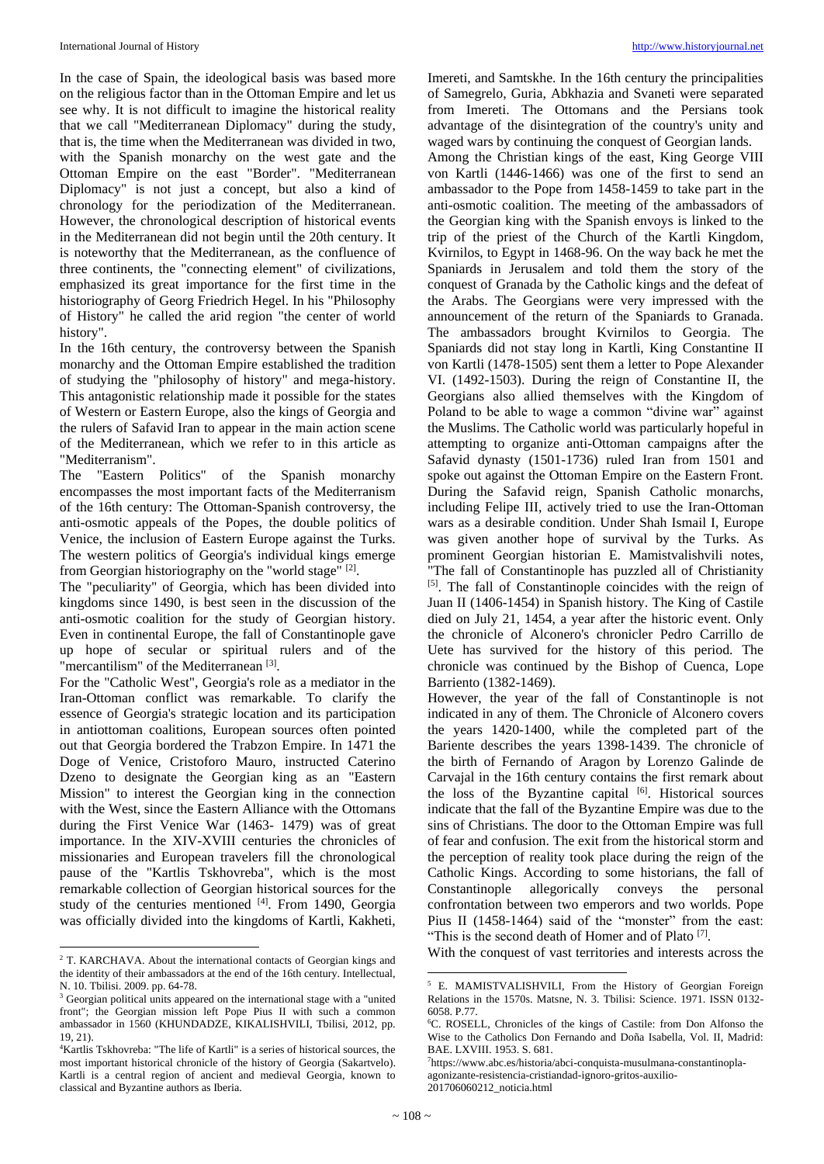In the case of Spain, the ideological basis was based more on the religious factor than in the Ottoman Empire and let us see why. It is not difficult to imagine the historical reality that we call "Mediterranean Diplomacy" during the study, that is, the time when the Mediterranean was divided in two, with the Spanish monarchy on the west gate and the Ottoman Empire on the east "Border". "Mediterranean Diplomacy" is not just a concept, but also a kind of chronology for the periodization of the Mediterranean. However, the chronological description of historical events in the Mediterranean did not begin until the 20th century. It is noteworthy that the Mediterranean, as the confluence of three continents, the "connecting element" of civilizations, emphasized its great importance for the first time in the historiography of Georg Friedrich Hegel. In his "Philosophy of History" he called the arid region "the center of world history".

In the 16th century, the controversy between the Spanish monarchy and the Ottoman Empire established the tradition of studying the "philosophy of history" and mega-history. This antagonistic relationship made it possible for the states of Western or Eastern Europe, also the kings of Georgia and the rulers of Safavid Iran to appear in the main action scene of the Mediterranean, which we refer to in this article as "Mediterranism".

The "Eastern Politics" of the Spanish monarchy encompasses the most important facts of the Mediterranism of the 16th century: The Ottoman-Spanish controversy, the anti-osmotic appeals of the Popes, the double politics of Venice, the inclusion of Eastern Europe against the Turks. The western politics of Georgia's individual kings emerge from Georgian historiography on the "world stage" [2].

The "peculiarity" of Georgia, which has been divided into kingdoms since 1490, is best seen in the discussion of the anti-osmotic coalition for the study of Georgian history. Even in continental Europe, the fall of Constantinople gave up hope of secular or spiritual rulers and of the "mercantilism" of the Mediterranean<sup>[3]</sup>.

For the "Catholic West", Georgia's role as a mediator in the Iran-Ottoman conflict was remarkable. To clarify the essence of Georgia's strategic location and its participation in antiottoman coalitions, European sources often pointed out that Georgia bordered the Trabzon Empire. In 1471 the Doge of Venice, Cristoforo Mauro, instructed Caterino Dzeno to designate the Georgian king as an "Eastern Mission" to interest the Georgian king in the connection with the West, since the Eastern Alliance with the Ottomans during the First Venice War (1463- 1479) was of great importance. In the XIV-XVIII centuries the chronicles of missionaries and European travelers fill the chronological pause of the "Kartlis Tskhovreba", which is the most remarkable collection of Georgian historical sources for the study of the centuries mentioned [4]. From 1490, Georgia was officially divided into the kingdoms of Kartli, Kakheti,

 $\overline{a}$ 

Imereti, and Samtskhe. In the 16th century the principalities of Samegrelo, Guria, Abkhazia and Svaneti were separated from Imereti. The Ottomans and the Persians took advantage of the disintegration of the country's unity and waged wars by continuing the conquest of Georgian lands. Among the Christian kings of the east, King George VIII von Kartli (1446-1466) was one of the first to send an ambassador to the Pope from 1458-1459 to take part in the anti-osmotic coalition. The meeting of the ambassadors of the Georgian king with the Spanish envoys is linked to the trip of the priest of the Church of the Kartli Kingdom, Kvirnilos, to Egypt in 1468-96. On the way back he met the Spaniards in Jerusalem and told them the story of the conquest of Granada by the Catholic kings and the defeat of the Arabs. The Georgians were very impressed with the announcement of the return of the Spaniards to Granada. The ambassadors brought Kvirnilos to Georgia. The Spaniards did not stay long in Kartli, King Constantine II von Kartli (1478-1505) sent them a letter to Pope Alexander VI. (1492-1503). During the reign of Constantine II, the Georgians also allied themselves with the Kingdom of Poland to be able to wage a common "divine war" against the Muslims. The Catholic world was particularly hopeful in attempting to organize anti-Ottoman campaigns after the Safavid dynasty (1501-1736) ruled Iran from 1501 and spoke out against the Ottoman Empire on the Eastern Front. During the Safavid reign, Spanish Catholic monarchs, including Felipe III, actively tried to use the Iran-Ottoman wars as a desirable condition. Under Shah Ismail I, Europe was given another hope of survival by the Turks. As prominent Georgian historian E. Mamistvalishvili notes, "The fall of Constantinople has puzzled all of Christianity [5]. The fall of Constantinople coincides with the reign of Juan II (1406-1454) in Spanish history. The King of Castile died on July 21, 1454, a year after the historic event. Only the chronicle of Alconero's chronicler Pedro Carrillo de Uete has survived for the history of this period. The chronicle was continued by the Bishop of Cuenca, Lope Barriento (1382-1469).

However, the year of the fall of Constantinople is not indicated in any of them. The Chronicle of Alconero covers the years 1420-1400, while the completed part of the Bariente describes the years 1398-1439. The chronicle of the birth of Fernando of Aragon by Lorenzo Galinde de Carvajal in the 16th century contains the first remark about the loss of the Byzantine capital [6]. Historical sources indicate that the fall of the Byzantine Empire was due to the sins of Christians. The door to the Ottoman Empire was full of fear and confusion. The exit from the historical storm and the perception of reality took place during the reign of the Catholic Kings. According to some historians, the fall of Constantinople allegorically conveys the personal confrontation between two emperors and two worlds. Pope Pius II (1458-1464) said of the "monster" from the east: "This is the second death of Homer and of Plato [7].

With the conquest of vast territories and interests across the

**.** 

<sup>&</sup>lt;sup>2</sup> T. KARCHAVA. About the international contacts of Georgian kings and the identity of their ambassadors at the end of the 16th century. Intellectual, N. 10. Tbilisi. 2009. pp. 64-78.

<sup>&</sup>lt;sup>3</sup> Georgian political units appeared on the international stage with a "united" front"; the Georgian mission left Pope Pius II with such a common ambassador in 1560 (KHUNDADZE, KIKALISHVILI, Tbilisi, 2012, pp. 19, 21).

<sup>4</sup>Kartlis Tskhovreba: "The life of Kartli" is a series of historical sources, the most important historical chronicle of the history of Georgia (Sakartvelo). Kartli is a central region of ancient and medieval Georgia, known to classical and Byzantine authors as Iberia.

<sup>5</sup> E. MAMISTVALISHVILI, From the History of Georgian Foreign Relations in the 1570s. Matsne, N. 3. Tbilisi: Science. 1971. ISSN 0132- 6058. P.77.

<sup>6</sup>C. ROSELL, Chronicles of the kings of Castile: from Don Alfonso the Wise to the Catholics Don Fernando and Doña Isabella, Vol. II, Madrid: BAE. LXVIII. 1953. S. 681.

<sup>7</sup> https://www.abc.es/historia/abci-conquista-musulmana-constantinoplaagonizante-resistencia-cristiandad-ignoro-gritos-auxilio-201706060212\_noticia.html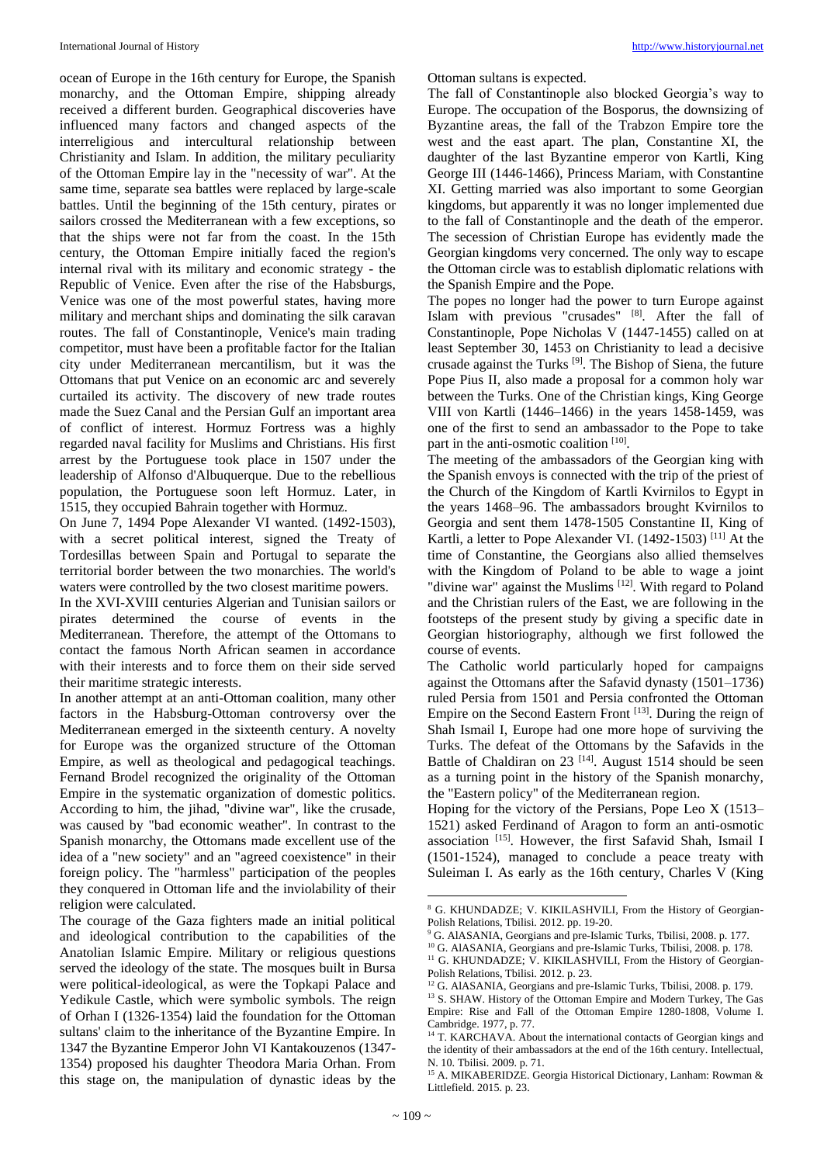ocean of Europe in the 16th century for Europe, the Spanish monarchy, and the Ottoman Empire, shipping already received a different burden. Geographical discoveries have influenced many factors and changed aspects of the interreligious and intercultural relationship between Christianity and Islam. In addition, the military peculiarity of the Ottoman Empire lay in the "necessity of war". At the same time, separate sea battles were replaced by large-scale battles. Until the beginning of the 15th century, pirates or sailors crossed the Mediterranean with a few exceptions, so that the ships were not far from the coast. In the 15th century, the Ottoman Empire initially faced the region's internal rival with its military and economic strategy - the Republic of Venice. Even after the rise of the Habsburgs, Venice was one of the most powerful states, having more military and merchant ships and dominating the silk caravan routes. The fall of Constantinople, Venice's main trading competitor, must have been a profitable factor for the Italian city under Mediterranean mercantilism, but it was the Ottomans that put Venice on an economic arc and severely curtailed its activity. The discovery of new trade routes made the Suez Canal and the Persian Gulf an important area of conflict of interest. Hormuz Fortress was a highly regarded naval facility for Muslims and Christians. His first arrest by the Portuguese took place in 1507 under the leadership of Alfonso d'Albuquerque. Due to the rebellious population, the Portuguese soon left Hormuz. Later, in 1515, they occupied Bahrain together with Hormuz.

On June 7, 1494 Pope Alexander VI wanted. (1492-1503), with a secret political interest, signed the Treaty of Tordesillas between Spain and Portugal to separate the territorial border between the two monarchies. The world's waters were controlled by the two closest maritime powers.

In the XVI-XVIII centuries Algerian and Tunisian sailors or pirates determined the course of events in the Mediterranean. Therefore, the attempt of the Ottomans to contact the famous North African seamen in accordance with their interests and to force them on their side served their maritime strategic interests.

In another attempt at an anti-Ottoman coalition, many other factors in the Habsburg-Ottoman controversy over the Mediterranean emerged in the sixteenth century. A novelty for Europe was the organized structure of the Ottoman Empire, as well as theological and pedagogical teachings. Fernand Brodel recognized the originality of the Ottoman Empire in the systematic organization of domestic politics. According to him, the jihad, "divine war", like the crusade, was caused by "bad economic weather". In contrast to the Spanish monarchy, the Ottomans made excellent use of the idea of a "new society" and an "agreed coexistence" in their foreign policy. The "harmless" participation of the peoples they conquered in Ottoman life and the inviolability of their religion were calculated.

The courage of the Gaza fighters made an initial political and ideological contribution to the capabilities of the Anatolian Islamic Empire. Military or religious questions served the ideology of the state. The mosques built in Bursa were political-ideological, as were the Topkapi Palace and Yedikule Castle, which were symbolic symbols. The reign of Orhan I (1326-1354) laid the foundation for the Ottoman sultans' claim to the inheritance of the Byzantine Empire. In 1347 the Byzantine Emperor John VI Kantakouzenos (1347- 1354) proposed his daughter Theodora Maria Orhan. From this stage on, the manipulation of dynastic ideas by the

Ottoman sultans is expected.

The fall of Constantinople also blocked Georgia's way to Europe. The occupation of the Bosporus, the downsizing of Byzantine areas, the fall of the Trabzon Empire tore the west and the east apart. The plan, Constantine XI, the daughter of the last Byzantine emperor von Kartli, King George III (1446-1466), Princess Mariam, with Constantine XI. Getting married was also important to some Georgian kingdoms, but apparently it was no longer implemented due to the fall of Constantinople and the death of the emperor. The secession of Christian Europe has evidently made the Georgian kingdoms very concerned. The only way to escape the Ottoman circle was to establish diplomatic relations with the Spanish Empire and the Pope.

The popes no longer had the power to turn Europe against Islam with previous "crusades" [8]. After the fall of Constantinople, Pope Nicholas V (1447-1455) called on at least September 30, 1453 on Christianity to lead a decisive crusade against the Turks [9] . The Bishop of Siena, the future Pope Pius II, also made a proposal for a common holy war between the Turks. One of the Christian kings, King George VIII von Kartli (1446–1466) in the years 1458-1459, was one of the first to send an ambassador to the Pope to take part in the anti-osmotic coalition [10].

The meeting of the ambassadors of the Georgian king with the Spanish envoys is connected with the trip of the priest of the Church of the Kingdom of Kartli Kvirnilos to Egypt in the years 1468–96. The ambassadors brought Kvirnilos to Georgia and sent them 1478-1505 Constantine II, King of Kartli, a letter to Pope Alexander VI. (1492-1503) [11] At the time of Constantine, the Georgians also allied themselves with the Kingdom of Poland to be able to wage a joint "divine war" against the Muslims<sup>[12]</sup>. With regard to Poland and the Christian rulers of the East, we are following in the footsteps of the present study by giving a specific date in Georgian historiography, although we first followed the course of events.

The Catholic world particularly hoped for campaigns against the Ottomans after the Safavid dynasty (1501–1736) ruled Persia from 1501 and Persia confronted the Ottoman Empire on the Second Eastern Front [13]. During the reign of Shah Ismail I, Europe had one more hope of surviving the Turks. The defeat of the Ottomans by the Safavids in the Battle of Chaldiran on 23<sup>[14]</sup>. August 1514 should be seen as a turning point in the history of the Spanish monarchy, the "Eastern policy" of the Mediterranean region.

Hoping for the victory of the Persians, Pope Leo X (1513– 1521) asked Ferdinand of Aragon to form an anti-osmotic association [15]. However, the first Safavid Shah, Ismail I (1501-1524), managed to conclude a peace treaty with Suleiman I. As early as the 16th century, Charles V (King

<sup>10</sup> G. AlASANIA, Georgians and pre-Islamic Turks, Tbilisi, 2008. p. 178. <sup>11</sup> G. KHUNDADZE; V. KIKILASHVILI, From the History of Georgian-Polish Relations, Tbilisi. 2012. p. 23.

<sup>1</sup> <sup>8</sup> G. KHUNDADZE; V. KIKILASHVILI, From the History of Georgian-Polish Relations, Tbilisi. 2012. pp. 19-20.

<sup>&</sup>lt;sup>9</sup> G. AlASANIA, Georgians and pre-Islamic Turks, Tbilisi, 2008. p. 177.

<sup>&</sup>lt;sup>12</sup> G. AlASANIA, Georgians and pre-Islamic Turks, Tbilisi, 2008. p. 179.

<sup>13</sup> S. SHAW. History of the Ottoman Empire and Modern Turkey, The Gas Empire: Rise and Fall of the Ottoman Empire 1280-1808, Volume I. Cambridge. 1977, p. 77.

<sup>&</sup>lt;sup>14</sup> T. KARCHAVA. About the international contacts of Georgian kings and the identity of their ambassadors at the end of the 16th century. Intellectual, N. 10. Tbilisi. 2009. p. 71.

<sup>&</sup>lt;sup>15</sup> A. MIKABERIDZE. Georgia Historical Dictionary, Lanham: Rowman & Littlefield. 2015. p. 23.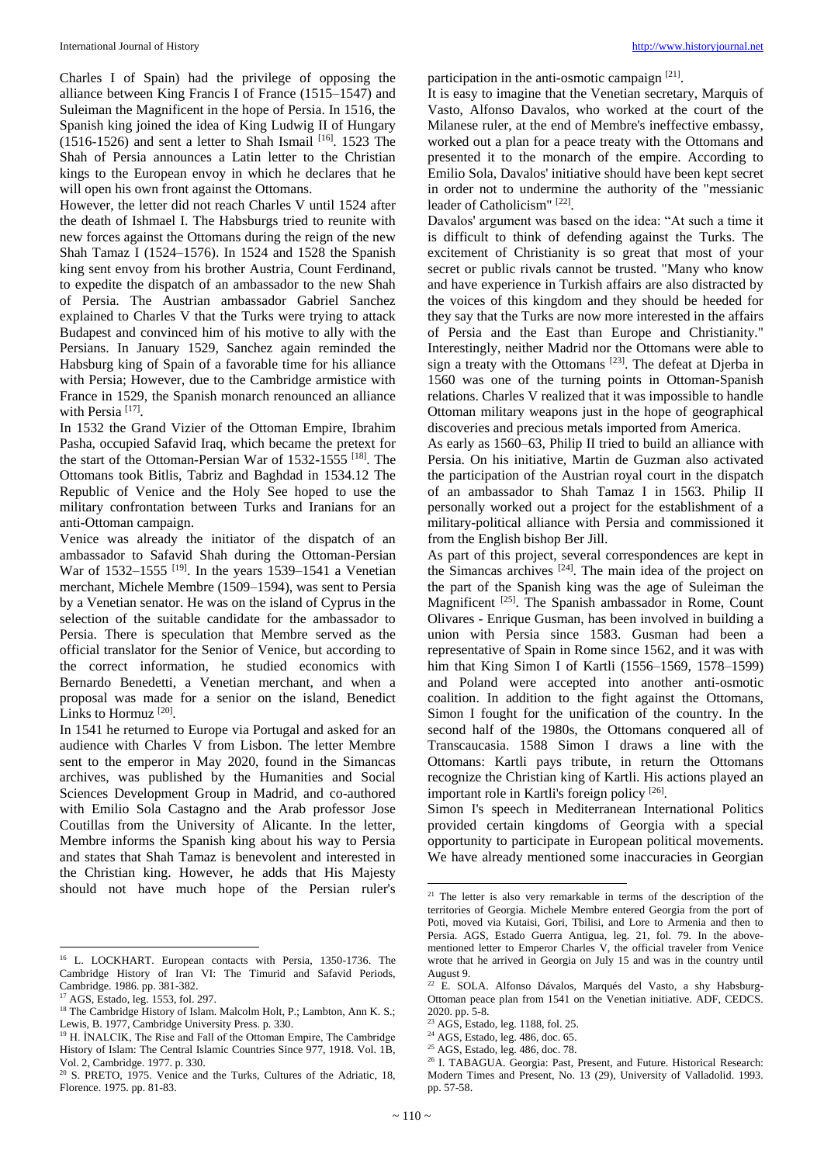Charles I of Spain) had the privilege of opposing the alliance between King Francis I of France (1515–1547) and Suleiman the Magnificent in the hope of Persia. In 1516, the Spanish king joined the idea of King Ludwig II of Hungary  $(1516-1526)$  and sent a letter to Shah Ismail  $[16]$ . 1523 The Shah of Persia announces a Latin letter to the Christian kings to the European envoy in which he declares that he will open his own front against the Ottomans.

However, the letter did not reach Charles V until 1524 after the death of Ishmael I. The Habsburgs tried to reunite with new forces against the Ottomans during the reign of the new Shah Tamaz I (1524–1576). In 1524 and 1528 the Spanish king sent envoy from his brother Austria, Count Ferdinand, to expedite the dispatch of an ambassador to the new Shah of Persia. The Austrian ambassador Gabriel Sanchez explained to Charles V that the Turks were trying to attack Budapest and convinced him of his motive to ally with the Persians. In January 1529, Sanchez again reminded the Habsburg king of Spain of a favorable time for his alliance with Persia; However, due to the Cambridge armistice with France in 1529, the Spanish monarch renounced an alliance with Persia<sup>[17]</sup>.

In 1532 the Grand Vizier of the Ottoman Empire, Ibrahim Pasha, occupied Safavid Iraq, which became the pretext for the start of the Ottoman-Persian War of 1532-1555 [18] . The Ottomans took Bitlis, Tabriz and Baghdad in 1534.12 The Republic of Venice and the Holy See hoped to use the military confrontation between Turks and Iranians for an anti-Ottoman campaign.

Venice was already the initiator of the dispatch of an ambassador to Safavid Shah during the Ottoman-Persian War of  $1532-1555$  <sup>[19]</sup>. In the years 1539-1541 a Venetian merchant, Michele Membre (1509–1594), was sent to Persia by a Venetian senator. He was on the island of Cyprus in the selection of the suitable candidate for the ambassador to Persia. There is speculation that Membre served as the official translator for the Senior of Venice, but according to the correct information, he studied economics with Bernardo Benedetti, a Venetian merchant, and when a proposal was made for a senior on the island, Benedict Links to Hormuz<sup>[20]</sup>.

In 1541 he returned to Europe via Portugal and asked for an audience with Charles V from Lisbon. The letter Membre sent to the emperor in May 2020, found in the Simancas archives, was published by the Humanities and Social Sciences Development Group in Madrid, and co-authored with Emilio Sola Castagno and the Arab professor Jose Coutillas from the University of Alicante. In the letter, Membre informs the Spanish king about his way to Persia and states that Shah Tamaz is benevolent and interested in the Christian king. However, he adds that His Majesty should not have much hope of the Persian ruler's

 $\overline{a}$ 

participation in the anti-osmotic campaign [21].

It is easy to imagine that the Venetian secretary, Marquis of Vasto, Alfonso Davalos, who worked at the court of the Milanese ruler, at the end of Membre's ineffective embassy, worked out a plan for a peace treaty with the Ottomans and presented it to the monarch of the empire. According to Emilio Sola, Davalos' initiative should have been kept secret in order not to undermine the authority of the "messianic leader of Catholicism" [22].

Davalos' argument was based on the idea: "At such a time it is difficult to think of defending against the Turks. The excitement of Christianity is so great that most of your secret or public rivals cannot be trusted. "Many who know and have experience in Turkish affairs are also distracted by the voices of this kingdom and they should be heeded for they say that the Turks are now more interested in the affairs of Persia and the East than Europe and Christianity." Interestingly, neither Madrid nor the Ottomans were able to sign a treaty with the Ottomans<sup>[23]</sup>. The defeat at Djerba in 1560 was one of the turning points in Ottoman-Spanish relations. Charles V realized that it was impossible to handle Ottoman military weapons just in the hope of geographical discoveries and precious metals imported from America.

As early as 1560–63, Philip II tried to build an alliance with Persia. On his initiative, Martin de Guzman also activated the participation of the Austrian royal court in the dispatch of an ambassador to Shah Tamaz I in 1563. Philip II personally worked out a project for the establishment of a military-political alliance with Persia and commissioned it from the English bishop Ber Jill.

As part of this project, several correspondences are kept in the Simancas archives  $[24]$ . The main idea of the project on the part of the Spanish king was the age of Suleiman the Magnificent <a>[25]</a>. The Spanish ambassador in Rome, Count Olivares - Enrique Gusman, has been involved in building a union with Persia since 1583. Gusman had been a representative of Spain in Rome since 1562, and it was with him that King Simon I of Kartli (1556–1569, 1578–1599) and Poland were accepted into another anti-osmotic coalition. In addition to the fight against the Ottomans, Simon I fought for the unification of the country. In the second half of the 1980s, the Ottomans conquered all of Transcaucasia. 1588 Simon I draws a line with the Ottomans: Kartli pays tribute, in return the Ottomans recognize the Christian king of Kartli. His actions played an important role in Kartli's foreign policy [26].

Simon I's speech in Mediterranean International Politics provided certain kingdoms of Georgia with a special opportunity to participate in European political movements. We have already mentioned some inaccuracies in Georgian

**.** 

<sup>&</sup>lt;sup>16</sup> L. LOCKHART. European contacts with Persia, 1350-1736. The Cambridge History of Iran VI: The Timurid and Safavid Periods, Cambridge. 1986. pp. 381-382.

<sup>17</sup> AGS, Estado, leg. 1553, fol. 297.

<sup>&</sup>lt;sup>18</sup> The Cambridge History of Islam. Malcolm Holt, P.; Lambton, Ann K. S.; Lewis, B. 1977, Cambridge University Press. p. 330.

<sup>&</sup>lt;sup>19</sup> H. İNALCIK, The Rise and Fall of the Ottoman Empire, The Cambridge History of Islam: The Central Islamic Countries Since 977, 1918. Vol. 1B, Vol. 2, Cambridge. 1977. p. 330.

<sup>&</sup>lt;sup>20</sup> S. PRETO, 1975. Venice and the Turks, Cultures of the Adriatic, 18, Florence. 1975. pp. 81-83.

<sup>&</sup>lt;sup>21</sup> The letter is also very remarkable in terms of the description of the territories of Georgia. Michele Membre entered Georgia from the port of Poti, moved via Kutaisi, Gori, Tbilisi, and Lore to Armenia and then to Persia. AGS, Estado Guerra Antigua, leg. 21, fol. 79. In the abovementioned letter to Emperor Charles V, the official traveler from Venice wrote that he arrived in Georgia on July 15 and was in the country until August 9.

<sup>22</sup> E. SOLA. Alfonso Dávalos, Marqués del Vasto, a shy Habsburg-Ottoman peace plan from 1541 on the Venetian initiative. ADF, CEDCS. 2020. pp. 5-8.

<sup>23</sup> AGS, Estado, leg. 1188, fol. 25.

<sup>24</sup> AGS, Estado, leg. 486, doc. 65.

<sup>25</sup> AGS, Estado, leg. 486, doc. 78.

<sup>&</sup>lt;sup>26</sup> I. TABAGUA. Georgia: Past, Present, and Future. Historical Research: Modern Times and Present, No. 13 (29), University of Valladolid. 1993. pp. 57-58.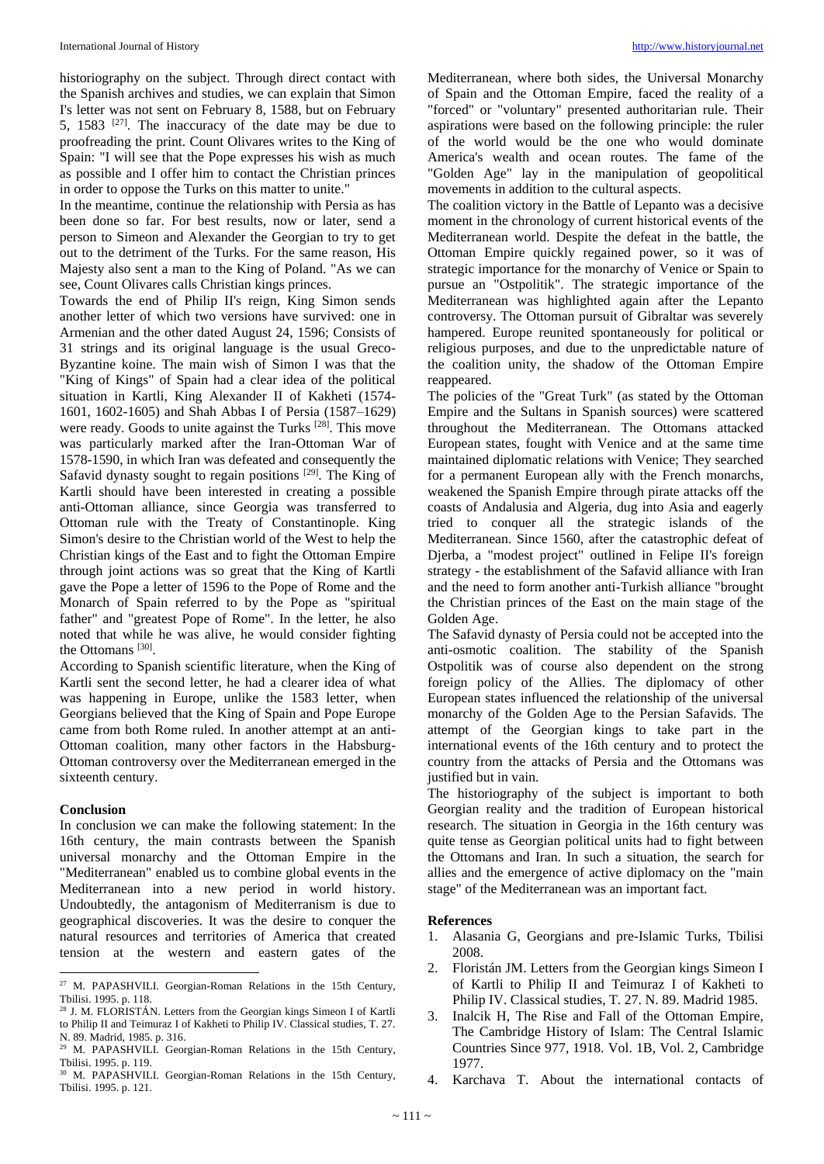historiography on the subject. Through direct contact with the Spanish archives and studies, we can explain that Simon I's letter was not sent on February 8, 1588, but on February 5, 1583  $[27]$ . The inaccuracy of the date may be due to proofreading the print. Count Olivares writes to the King of Spain: "I will see that the Pope expresses his wish as much as possible and I offer him to contact the Christian princes in order to oppose the Turks on this matter to unite."

In the meantime, continue the relationship with Persia as has been done so far. For best results, now or later, send a person to Simeon and Alexander the Georgian to try to get out to the detriment of the Turks. For the same reason, His Majesty also sent a man to the King of Poland. "As we can see, Count Olivares calls Christian kings princes.

Towards the end of Philip II's reign, King Simon sends another letter of which two versions have survived: one in Armenian and the other dated August 24, 1596; Consists of 31 strings and its original language is the usual Greco-Byzantine koine. The main wish of Simon I was that the "King of Kings" of Spain had a clear idea of the political situation in Kartli, King Alexander II of Kakheti (1574- 1601, 1602-1605) and Shah Abbas I of Persia (1587–1629) were ready. Goods to unite against the Turks  $^{[28]}$ . This move was particularly marked after the Iran-Ottoman War of 1578-1590, in which Iran was defeated and consequently the Safavid dynasty sought to regain positions<sup>[29]</sup>. The King of Kartli should have been interested in creating a possible anti-Ottoman alliance, since Georgia was transferred to Ottoman rule with the Treaty of Constantinople. King Simon's desire to the Christian world of the West to help the Christian kings of the East and to fight the Ottoman Empire through joint actions was so great that the King of Kartli gave the Pope a letter of 1596 to the Pope of Rome and the Monarch of Spain referred to by the Pope as "spiritual father" and "greatest Pope of Rome". In the letter, he also noted that while he was alive, he would consider fighting the Ottomans<sup>[30]</sup>.

According to Spanish scientific literature, when the King of Kartli sent the second letter, he had a clearer idea of what was happening in Europe, unlike the 1583 letter, when Georgians believed that the King of Spain and Pope Europe came from both Rome ruled. In another attempt at an anti-Ottoman coalition, many other factors in the Habsburg-Ottoman controversy over the Mediterranean emerged in the sixteenth century.

## **Conclusion**

In conclusion we can make the following statement: In the 16th century, the main contrasts between the Spanish universal monarchy and the Ottoman Empire in the "Mediterranean" enabled us to combine global events in the Mediterranean into a new period in world history. Undoubtedly, the antagonism of Mediterranism is due to geographical discoveries. It was the desire to conquer the natural resources and territories of America that created tension at the western and eastern gates of the

Mediterranean, where both sides, the Universal Monarchy of Spain and the Ottoman Empire, faced the reality of a "forced" or "voluntary" presented authoritarian rule. Their aspirations were based on the following principle: the ruler of the world would be the one who would dominate America's wealth and ocean routes. The fame of the "Golden Age" lay in the manipulation of geopolitical movements in addition to the cultural aspects.

The coalition victory in the Battle of Lepanto was a decisive moment in the chronology of current historical events of the Mediterranean world. Despite the defeat in the battle, the Ottoman Empire quickly regained power, so it was of strategic importance for the monarchy of Venice or Spain to pursue an "Ostpolitik". The strategic importance of the Mediterranean was highlighted again after the Lepanto controversy. The Ottoman pursuit of Gibraltar was severely hampered. Europe reunited spontaneously for political or religious purposes, and due to the unpredictable nature of the coalition unity, the shadow of the Ottoman Empire reappeared.

The policies of the "Great Turk" (as stated by the Ottoman Empire and the Sultans in Spanish sources) were scattered throughout the Mediterranean. The Ottomans attacked European states, fought with Venice and at the same time maintained diplomatic relations with Venice; They searched for a permanent European ally with the French monarchs, weakened the Spanish Empire through pirate attacks off the coasts of Andalusia and Algeria, dug into Asia and eagerly tried to conquer all the strategic islands of the Mediterranean. Since 1560, after the catastrophic defeat of Djerba, a "modest project" outlined in Felipe II's foreign strategy - the establishment of the Safavid alliance with Iran and the need to form another anti-Turkish alliance "brought the Christian princes of the East on the main stage of the Golden Age.

The Safavid dynasty of Persia could not be accepted into the anti-osmotic coalition. The stability of the Spanish Ostpolitik was of course also dependent on the strong foreign policy of the Allies. The diplomacy of other European states influenced the relationship of the universal monarchy of the Golden Age to the Persian Safavids. The attempt of the Georgian kings to take part in the international events of the 16th century and to protect the country from the attacks of Persia and the Ottomans was justified but in vain.

The historiography of the subject is important to both Georgian reality and the tradition of European historical research. The situation in Georgia in the 16th century was quite tense as Georgian political units had to fight between the Ottomans and Iran. In such a situation, the search for allies and the emergence of active diplomacy on the "main stage" of the Mediterranean was an important fact.

# **References**

- 1. Alasania G, Georgians and pre-Islamic Turks, Tbilisi 2008.
- 2. Floristán JM. Letters from the Georgian kings Simeon I of Kartli to Philip II and Teimuraz I of Kakheti to Philip IV. Classical studies, T. 27. N. 89. Madrid 1985.
- 3. Inalcik H, The Rise and Fall of the Ottoman Empire, The Cambridge History of Islam: The Central Islamic Countries Since 977, 1918. Vol. 1B, Vol. 2, Cambridge 1977.
- 4. Karchava T. About the international contacts of

 $\overline{\phantom{a}}$ <sup>27</sup> M. PAPASHVILI. Georgian-Roman Relations in the 15th Century, Tbilisi. 1995. p. 118.

<sup>&</sup>lt;sup>28</sup> J. M. FLORISTÁN. Letters from the Georgian kings Simeon I of Kartli to Philip II and Teimuraz I of Kakheti to Philip IV. Classical studies, T. 27. N. 89. Madrid, 1985. p. 316.

M. PAPASHVILI. Georgian-Roman Relations in the 15th Century, Tbilisi. 1995. p. 119.

<sup>30</sup> M. PAPASHVILI. Georgian-Roman Relations in the 15th Century, Tbilisi. 1995. p. 121.